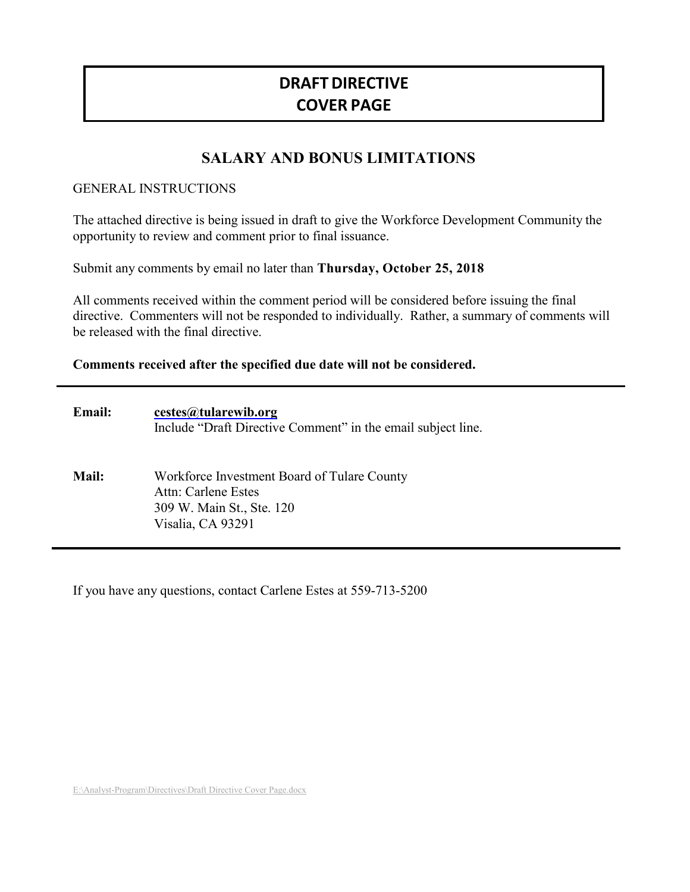# **DRAFT DIRECTIVE COVER PAGE**

# **SALARY AND BONUS LIMITATIONS**

#### GENERAL INSTRUCTIONS

The attached directive is being issued in draft to give the Workforce Development Community the opportunity to review and comment prior to final issuance.

Submit any comments by email no later than **Thursday, October 25, 2018**

All comments received within the comment period will be considered before issuing the final directive. Commenters will not be responded to individually. Rather, a summary of comments will be released with the final directive.

#### **Comments received after the specified due date will not be considered.**

| <b>Email:</b> | cestes@tularewib.org<br>Include "Draft Directive Comment" in the email subject line.                                 |
|---------------|----------------------------------------------------------------------------------------------------------------------|
| Mail:         | Workforce Investment Board of Tulare County<br>Attn: Carlene Estes<br>309 W. Main St., Ste. 120<br>Visalia, CA 93291 |

If you have any questions, contact Carlene Estes at 559-713-5200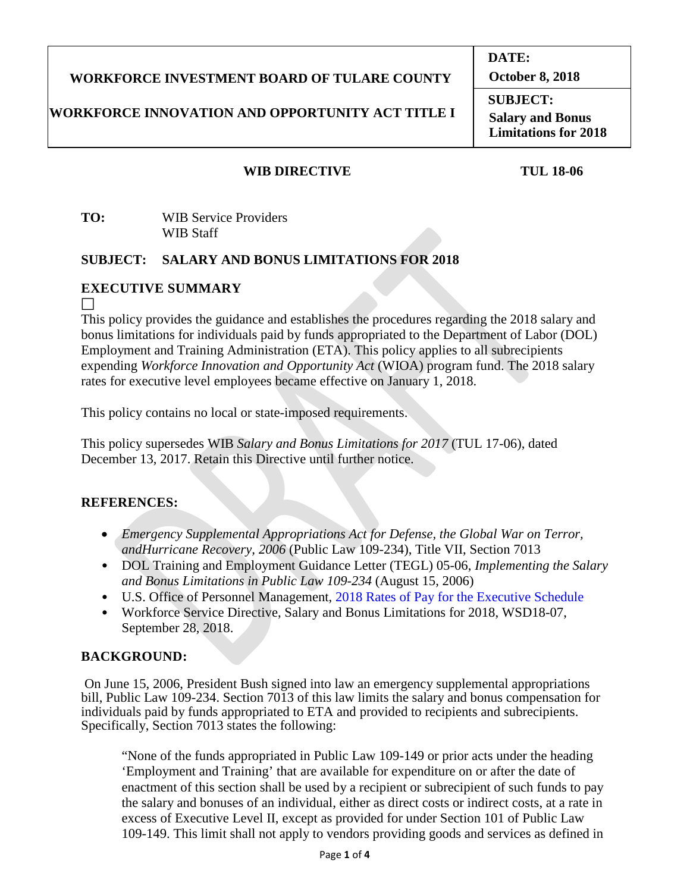# **WORKFORCE INVESTMENT BOARD OF TULARE COUNTY**

# **WORKFORCE INNOVATION AND OPPORTUNITY ACT TITLE I**

**October 8, 2018 SUBJECT:**

**DATE:**

**Salary and Bonus Limitations for 2018**

# **WIB DIRECTIVE TUL 18-06**

**TO:** WIB Service Providers WIB Staff

## **SUBJECT: SALARY AND BONUS LIMITATIONS FOR 2018**

# **EXECUTIVE SUMMARY**

 $\Box$ 

This policy provides the guidance and establishes the procedures regarding the 2018 salary and bonus limitations for individuals paid by funds appropriated to the Department of Labor (DOL) Employment and Training Administration (ETA). This policy applies to all subrecipients expending *Workforce Innovation and Opportunity Act* (WIOA) program fund. The 2018 salary rates for executive level employees became effective on January 1, 2018.

This policy contains no local or state-imposed requirements.

This policy supersedes WIB *Salary and Bonus Limitations for 2017* (TUL 17-06), dated December 13, 2017. Retain this Directive until further notice.

# **REFERENCES:**

- *Emergency Supplemental Appropriations Act for Defense, the Global War on Terror, andHurricane Recovery, 2006* (Public Law 109-234), Title VII, Section 7013
- DOL Training and Employment Guidance Letter (TEGL) 05-06, *Implementing the Salary and Bonus Limitations in Public Law 109-234* (August 15, 2006)
- U.S. Office of Personnel Management, 2018 Rates of Pay for the Executive Schedule
- Workforce Service Directive, Salary and Bonus Limitations for 2018, WSD18-07, September 28, 2018.

## **BACKGROUND:**

On June 15, 2006, President Bush signed into law an emergency supplemental appropriations bill, Public Law 109-234. Section 7013 of this law limits the salary and bonus compensation for individuals paid by funds appropriated to ETA and provided to recipients and subrecipients. Specifically, Section 7013 states the following:

"None of the funds appropriated in Public Law 109-149 or prior acts under the heading 'Employment and Training' that are available for expenditure on or after the date of enactment of this section shall be used by a recipient or subrecipient of such funds to pay the salary and bonuses of an individual, either as direct costs or indirect costs, at a rate in excess of Executive Level II, except as provided for under Section 101 of Public Law 109-149. This limit shall not apply to vendors providing goods and services as defined in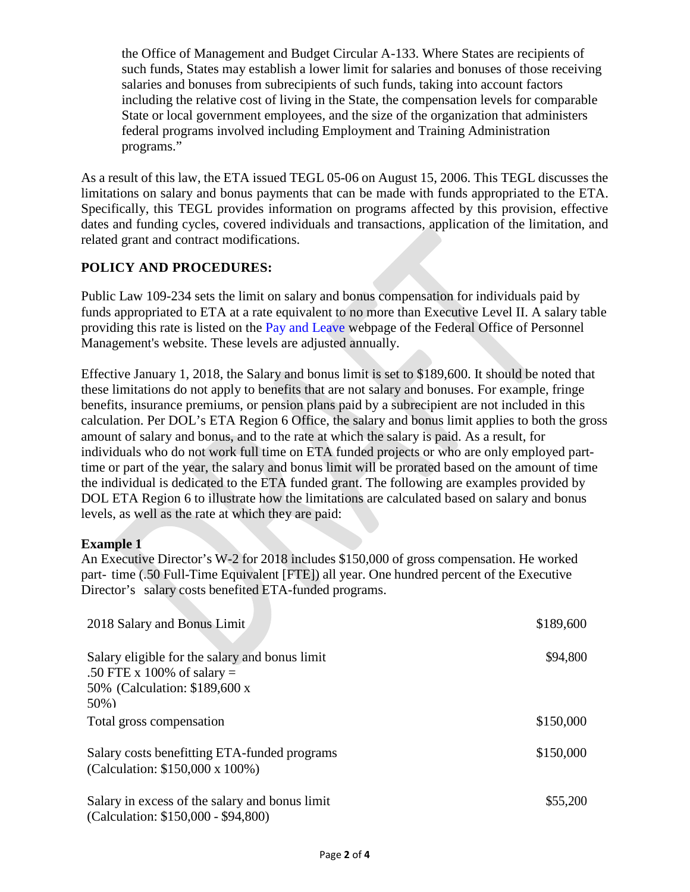the Office of Management and Budget Circular A-133. Where States are recipients of such funds, States may establish a lower limit for salaries and bonuses of those receiving salaries and bonuses from subrecipients of such funds, taking into account factors including the relative cost of living in the State, the compensation levels for comparable State or local government employees, and the size of the organization that administers federal programs involved including Employment and Training Administration programs."

As a result of this law, the ETA issued TEGL 05-06 on August 15, 2006. This TEGL discusses the limitations on salary and bonus payments that can be made with funds appropriated to the ETA. Specifically, this TEGL provides information on programs affected by this provision, effective dates and funding cycles, covered individuals and transactions, application of the limitation, and related grant and contract modifications.

## **POLICY AND PROCEDURES:**

Public Law 109-234 sets the limit on salary and bonus compensation for individuals paid by funds appropriated to ETA at a rate equivalent to no more than Executive Level II. A salary table providing this rate is listed on the Pay and Leave webpage of the Federal Office of Personnel Management's website. These levels are adjusted annually.

Effective January 1, 2018, the Salary and bonus limit is set to \$189,600. It should be noted that these limitations do not apply to benefits that are not salary and bonuses. For example, fringe benefits, insurance premiums, or pension plans paid by a subrecipient are not included in this calculation. Per DOL's ETA Region 6 Office, the salary and bonus limit applies to both the gross amount of salary and bonus, and to the rate at which the salary is paid. As a result, for individuals who do not work full time on ETA funded projects or who are only employed parttime or part of the year, the salary and bonus limit will be prorated based on the amount of time the individual is dedicated to the ETA funded grant. The following are examples provided by DOL ETA Region 6 to illustrate how the limitations are calculated based on salary and bonus levels, as well as the rate at which they are paid:

#### **Example 1**

An Executive Director's W-2 for 2018 includes \$150,000 of gross compensation. He worked part- time (.50 Full-Time Equivalent [FTE]) all year. One hundred percent of the Executive Director's salary costs benefited ETA-funded programs.

| 2018 Salary and Bonus Limit                                                                                                | \$189,600 |
|----------------------------------------------------------------------------------------------------------------------------|-----------|
| Salary eligible for the salary and bonus limit<br>.50 FTE x 100% of salary $=$<br>50% (Calculation: \$189,600 x<br>$50\%)$ | \$94,800  |
| Total gross compensation                                                                                                   | \$150,000 |
| Salary costs benefitting ETA-funded programs<br>(Calculation: \$150,000 x 100%)                                            | \$150,000 |
| Salary in excess of the salary and bonus limit<br>(Calculation: \$150,000 - \$94,800)                                      | \$55,200  |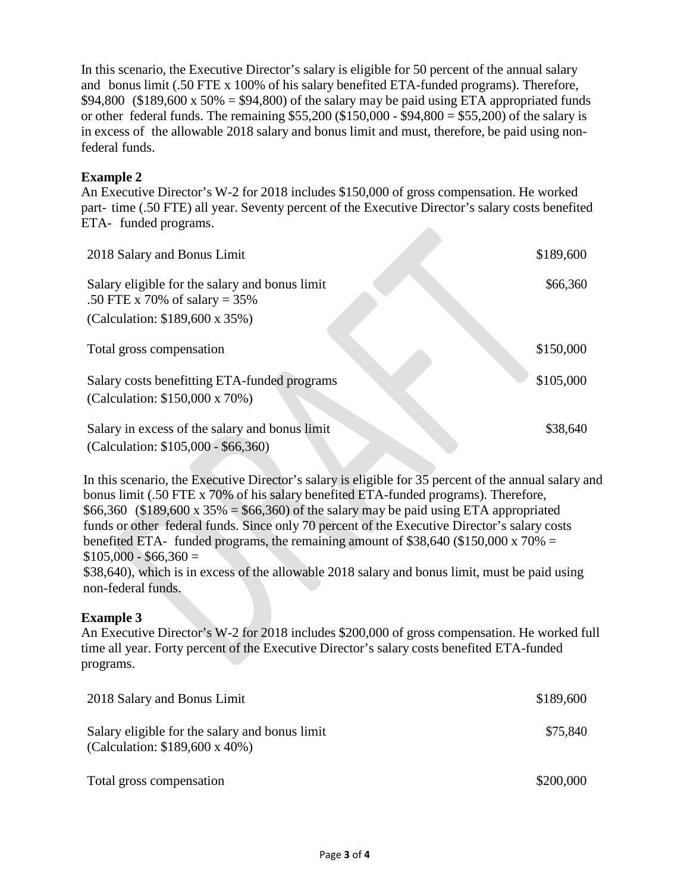In this scenario, the Executive Director's salary is eligible for 50 percent of the annual salary and bonus limit (.50 FTE x 100% of his salary benefited ETA-funded programs). Therefore, \$94,800 (\$189,600 x 50% = \$94,800) of the salary may be paid using ETA appropriated funds or other federal funds. The remaining  $$55,200 ($150,000 - $94,800 = $55,200$)$  of the salary is in excess of the allowable 2018 salary and bonus limit and must, therefore, be paid using nonfederal funds.

## **Example 2**

An Executive Director's W-2 for 2018 includes \$150,000 of gross compensation. He worked part- time (.50 FTE) all year. Seventy percent of the Executive Director's salary costs benefited ETA- funded programs.

| 2018 Salary and Bonus Limit                                                                                          | \$189,600 |
|----------------------------------------------------------------------------------------------------------------------|-----------|
| Salary eligible for the salary and bonus limit<br>.50 FTE x 70% of salary = $35\%$<br>(Calculation: \$189,600 x 35%) | \$66,360  |
| Total gross compensation                                                                                             | \$150,000 |
| Salary costs benefitting ETA-funded programs<br>(Calculation: \$150,000 x 70%)                                       | \$105,000 |
| Salary in excess of the salary and bonus limit<br>(Calculation: \$105,000 - \$66,360)                                | \$38,640  |

In this scenario, the Executive Director's salary is eligible for 35 percent of the annual salary and bonus limit (.50 FTE x 70% of his salary benefited ETA-funded programs). Therefore, \$66,360 (\$189,600 x 35% = \$66,360) of the salary may be paid using ETA appropriated funds or other federal funds. Since only 70 percent of the Executive Director's salary costs benefited ETA- funded programs, the remaining amount of \$38,640 (\$150,000 x 70%  $=$  $$105,000 - $66,360 =$ 

\$38,640), which is in excess of the allowable 2018 salary and bonus limit, must be paid using non-federal funds.

## **Example 3**

An Executive Director's W-2 for 2018 includes \$200,000 of gross compensation. He worked full time all year. Forty percent of the Executive Director's salary costs benefited ETA-funded programs.

| 2018 Salary and Bonus Limit                                                              | \$189,600 |
|------------------------------------------------------------------------------------------|-----------|
| Salary eligible for the salary and bonus limit<br>(Calculation: $$189,600 \times 40\%$ ) | \$75,840  |
| Total gross compensation                                                                 | \$200,000 |